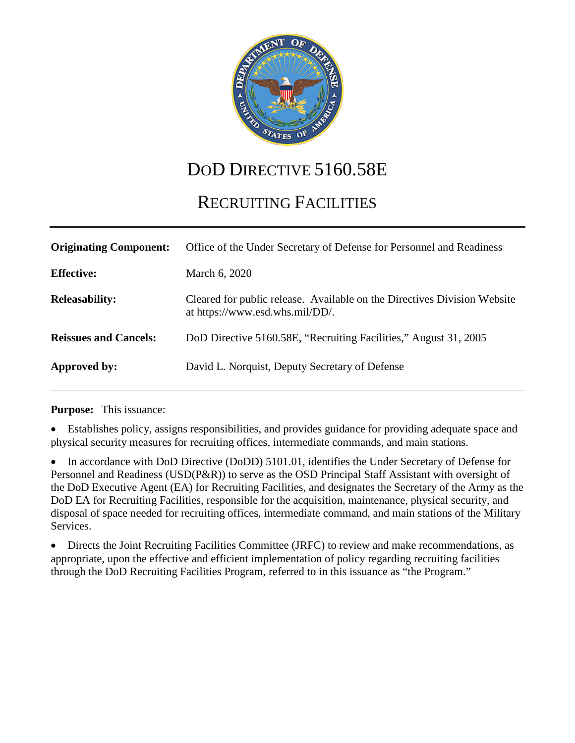

# DOD DIRECTIVE 5160.58E

# RECRUITING FACILITIES

| <b>Originating Component:</b> | Office of the Under Secretary of Defense for Personnel and Readiness                                        |
|-------------------------------|-------------------------------------------------------------------------------------------------------------|
| <b>Effective:</b>             | March 6, 2020                                                                                               |
| <b>Releasability:</b>         | Cleared for public release. Available on the Directives Division Website<br>at https://www.esd.whs.mil/DD/. |
| <b>Reissues and Cancels:</b>  | DoD Directive 5160.58E, "Recruiting Facilities," August 31, 2005                                            |
| Approved by:                  | David L. Norquist, Deputy Secretary of Defense                                                              |

**Purpose:** This issuance:

• Establishes policy, assigns responsibilities, and provides guidance for providing adequate space and physical security measures for recruiting offices, intermediate commands, and main stations.

• In accordance with DoD Directive (DoDD) 5101.01, identifies the Under Secretary of Defense for Personnel and Readiness (USD(P&R)) to serve as the OSD Principal Staff Assistant with oversight of the DoD Executive Agent (EA) for Recruiting Facilities, and designates the Secretary of the Army as the DoD EA for Recruiting Facilities, responsible for the acquisition, maintenance, physical security, and disposal of space needed for recruiting offices, intermediate command, and main stations of the Military Services.

• Directs the Joint Recruiting Facilities Committee (JRFC) to review and make recommendations, as appropriate, upon the effective and efficient implementation of policy regarding recruiting facilities through the DoD Recruiting Facilities Program, referred to in this issuance as "the Program."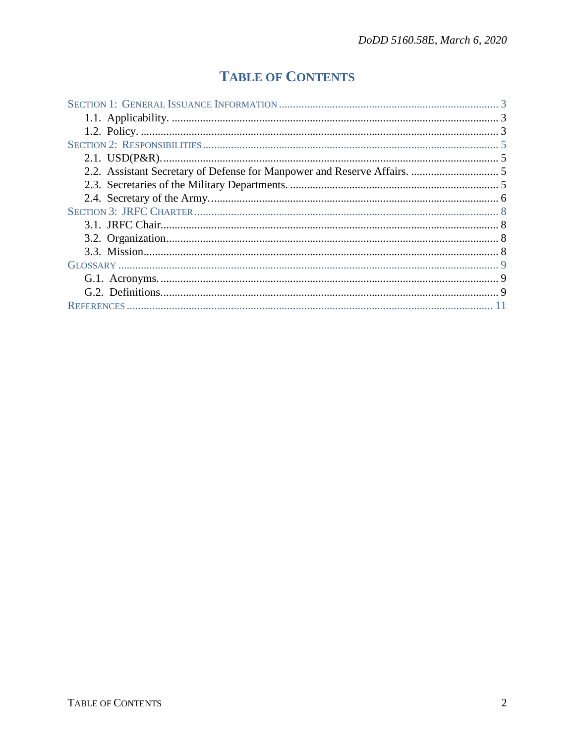## **TABLE OF CONTENTS**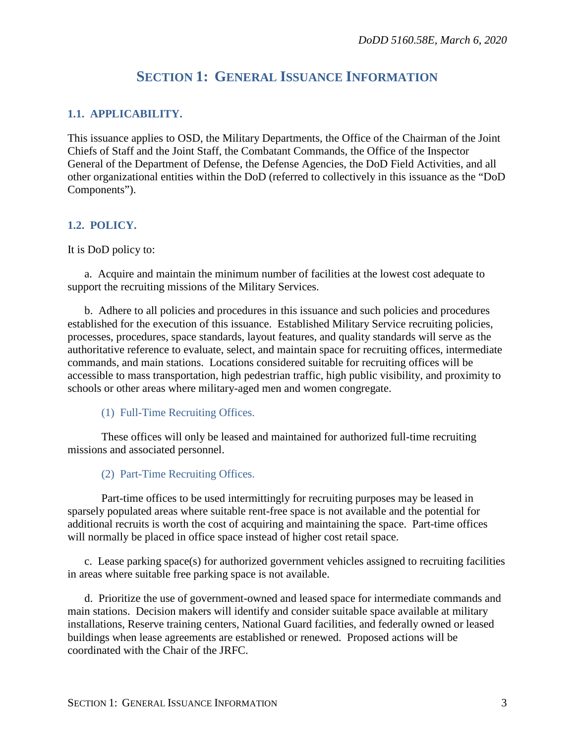## **SECTION 1: GENERAL ISSUANCE INFORMATION**

#### <span id="page-2-1"></span><span id="page-2-0"></span>**1.1. APPLICABILITY.**

This issuance applies to OSD, the Military Departments, the Office of the Chairman of the Joint Chiefs of Staff and the Joint Staff, the Combatant Commands, the Office of the Inspector General of the Department of Defense, the Defense Agencies, the DoD Field Activities, and all other organizational entities within the DoD (referred to collectively in this issuance as the "DoD Components").

#### <span id="page-2-2"></span>**1.2. POLICY.**

It is DoD policy to:

a. Acquire and maintain the minimum number of facilities at the lowest cost adequate to support the recruiting missions of the Military Services.

b. Adhere to all policies and procedures in this issuance and such policies and procedures established for the execution of this issuance. Established Military Service recruiting policies, processes, procedures, space standards, layout features, and quality standards will serve as the authoritative reference to evaluate, select, and maintain space for recruiting offices, intermediate commands, and main stations. Locations considered suitable for recruiting offices will be accessible to mass transportation, high pedestrian traffic, h igh public visibility, and proximity to schools or other areas where military-aged men and wome n congregate.

(1) Full-Time Recruiting Offices.

These offices will only be leased and maintained for authorized full-time recruiting missions and associated personnel.

(2) Part-Time Recruiting Offices.

Part-time offices to be used intermittingly for recruiting purposes may be leased in sparsely populated areas where suitable rent-free space is not available an d the potential for additional recruits is worth the cost of acquiring and maintaining the space . Part-time offices will normally be placed in office space instead of higher cost retail space.

c. Lease parking space(s) for authorized government vehicles assigned to recruiting facilities in areas where suitable free parking space is not available.

d. Prioritize the use of government-owned and leased space for intermediate commands and main stations. Decision makers will identify and consider suitable space available at military installations, Reserve training centers, National Guard facilities, and federally owned or leased buildings when lease agreements are established or renewed. Proposed actions will be coordinated with the Chair of the JRFC.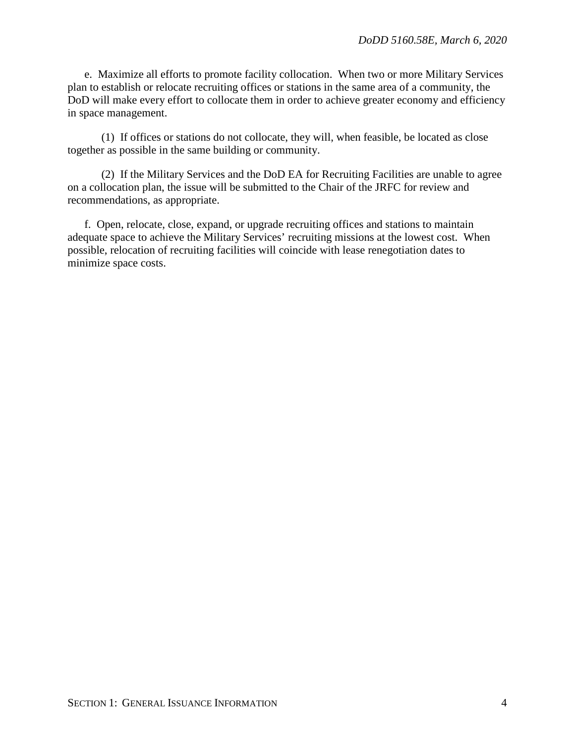e. Maximize all efforts to promote facility collocation. When two or more Military Services plan to establish or relocate recruiting offices or stations in the same area of a community, the DoD will make every effort to collocate them in order to achieve greater economy and efficiency in space management.

(1) If offices or stations do not collocate, they will, when feasible, be located as close together as possible in the same building or community.

(2) If the Military Services and the DoD EA for Recruiting Facilities are unable to agree on a collocation plan, the issue will be submitted to the Chair of the JRFC for review and recommendations, as appropriate.

f. Open, relocate, close, expand, or upgrade recruiting offices and stations to maintain adequate space to achieve the Military Services' recruiting missions at the lowest cost. When possible, relocation of recruiting facilities will coincide with lease renegotiation dates to minimize space costs.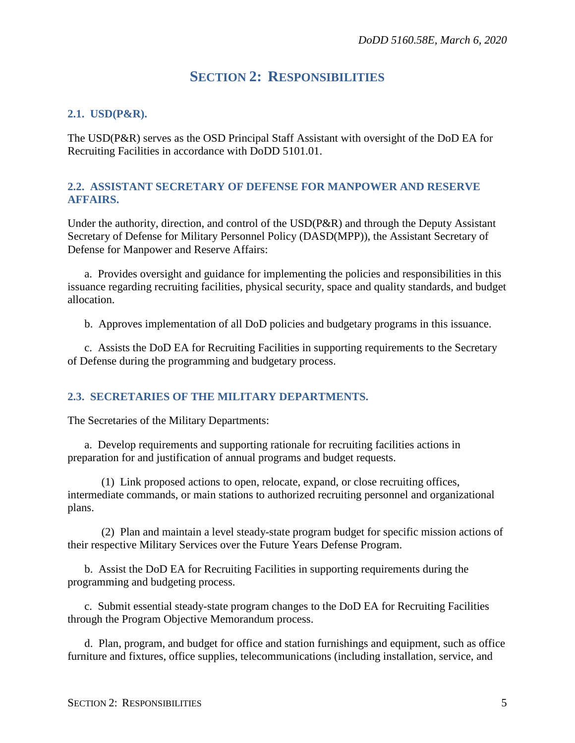## **SECTION 2: RESPONSIBILITIES**

#### <span id="page-4-1"></span><span id="page-4-0"></span>**2.1. USD(P&R).**

The USD(P&R) serves as the OSD Principal Staff Assistant with oversight of the DoD EA for Recruiting Facilities in accordance with DoDD 5101.01.

#### <span id="page-4-2"></span>**2.2. ASSISTANT SECRETARY OF DEFENSE FOR MANPOWER AND RESERVE AFFAIRS.**

Under the authority, direction, and control of the USD(P&R) and through the Deputy Assistant Secretary of Defense for Military Personnel Policy (DASD(MPP)), the Assistant Secretary of Defense for Manpower and Reserve Affairs:

a. Provides oversight and guidance for implementing the policies and responsibilities in this issuance regarding recruiting facilities, physical security, space and quality standards, and budget allocation.

b. Approves implementation of all DoD policies and budgetary programs in this issuance.

c. Assists the DoD EA for Recruiting Facilities in supporting requirements to the Secretary of Defense during the programming and budgetary process.

#### <span id="page-4-3"></span>**2.3. SECRETARIES OF THE MILITARY DEPARTMENTS.**

The Secretaries of the Military Departments:

a. Develop requirements and supporting rationale for recruiting facilities actions in preparation for and justification of annual programs and budget requests.

(1) Link proposed actions to open, relocate, expand, or close recruiting offices, intermediate commands, or main stations to authorized recruiting personnel and organizational plans.

(2) Plan and maintain a level steady-state program budget for specific mission actions of their respective Military Services over the Future Years Defense Program.

b. Assist the DoD EA for Recruiting Facilities in supporting requirements during the programming and budgeting process.

c. Submit essential steady-state program changes to the DoD EA for Recruiting Facilities through the Program Objective Memorandum process.

d. Plan, program, and budget for office and station furnishings and equipment, such as office furniture and fixtures, office supplies, telecommunications (including installation, service, and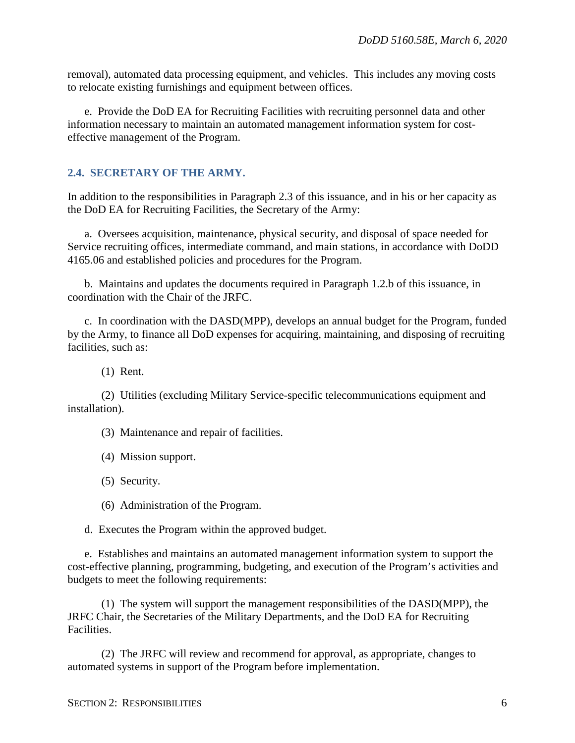removal), automated data processing equipment, and vehicles. This includes any moving costs to relocate existing furnishings and equipment between offices.

e. Provide the DoD EA for Recruiting Facilities with recruiting personnel data and other information necessary to maintain an automated management information system for costeffective management of the Program.

#### <span id="page-5-0"></span>**2.4. SECRETARY OF THE ARMY.**

In addition to the responsibilities in Paragraph 2.3 of this issuance, and in his or her capacity as the DoD EA for Recruiting Facilities, the Secretary of the Army:

a. Oversees acquisition, maintenance, physical security, and disposal of space needed for Service recruiting offices, intermediate command, and main stations, in accordance with DoDD 4165.06 and established policies and procedures for the Program.

b. Maintains and updates the documents required in Paragraph 1.2.b of this issuance, in coordination with the Chair of the JRFC.

c. In coordination with the DASD(MPP), develops an annual budget for the Program, funded by the Army, to finance all DoD expenses for acquiring, maintaining, and disposing of recruiting facilities, such as:

(1) Rent.

(2) Utilities (excluding Military Service-specific telecommunications equipment and installation).

(3) Maintenance and repair of facilities.

(4) Mission support.

(5) Security.

(6) Administration of the Program.

d. Executes the Program within the approved budget.

e. Establishes and maintains an automated management information system to support the cost-effective planning, programming, budgeting, and execution of the Program's activities and budgets to meet the following requirements:

(1) The system will support the management responsibilities of the DASD(MPP), the JRFC Chair, the Secretaries of the Military Departments, and the DoD EA for Recruiting Facilities.

(2) The JRFC will review and recommend for approval, as appropriate, changes to automated systems in support of the Program before implementation.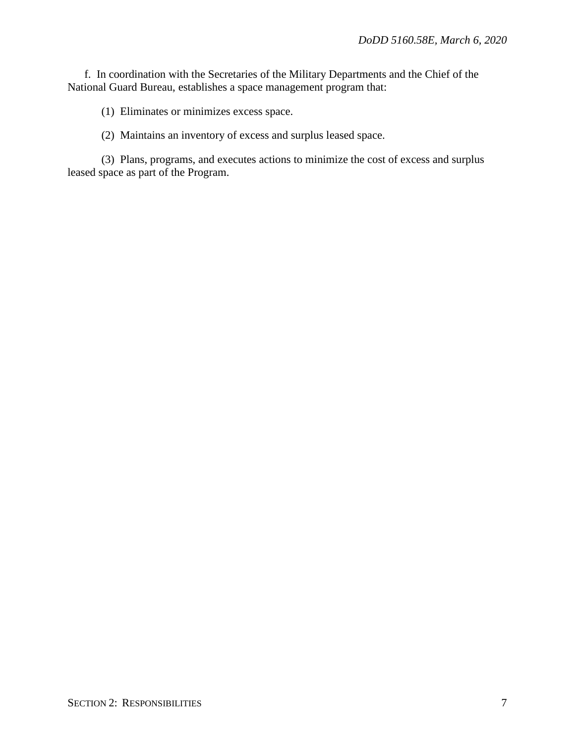f. In coordination with the Secretaries of the Military Departments and the Chief of the National Guard Bureau, establishes a space management program that:

(1) Eliminates or minimizes excess space.

(2) Maintains an inventory of excess and surplus leased space.

(3) Plans, programs, and executes actions to minimize the cost of excess and surplus leased space as part of the Program.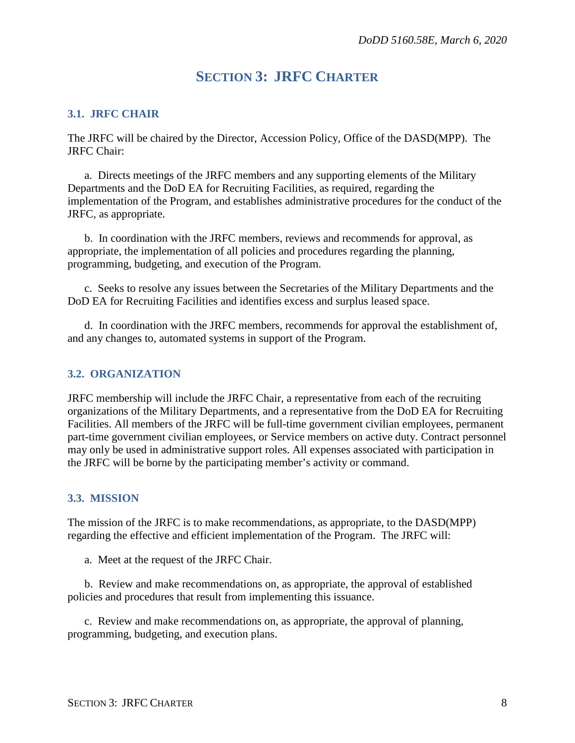## **SECTION 3: JRFC CHARTER**

#### <span id="page-7-1"></span><span id="page-7-0"></span>**3.1. JRFC CHAIR**

The JRFC will be chaired by the Director, Accession Policy, Office of the DASD(MPP). The JRFC Chair:

a. Directs meetings of the JRFC members and any supporting elements of the Military Departments and the DoD EA for Recruiting Facilities, as required, regarding the implementation of the Program, and establishes administrative procedures for the conduct of the JRFC, as appropriate.

b. In coordination with the JRFC members, reviews and recommends for approval, as appropriate, the implementation of all policies and procedures regarding the planning, programming, budgeting, and execution of the Program.

c. Seeks to resolve any issues between the Secretaries of the Military Departments and the DoD EA for Recruiting Facilities and identifies excess and surplus leased space.

d. In coordination with the JRFC members, recommends for approval the establishment of, and any changes to, automated systems in support of the Program.

#### <span id="page-7-2"></span>**3.2. ORGANIZATION**

JRFC membership will include the JRFC Chair, a representative from each of the recruiting organizations of the Military Departments, and a representative from the DoD EA for Recruiting Facilities. All members of the JRFC will be full-time government civilian employees, permanent part-time government civilian employees, or Service members on active duty. Contract personnel may only be used in administrative support roles. All expenses associated with participation in the JRFC will be borne by the participating member's activity or command.

#### <span id="page-7-3"></span>**3.3. MISSION**

The mission of the JRFC is to make recommendations, as appropriate, to the DASD(MPP) regarding the effective and efficient implementation of the Program. The JRFC will:

a. Meet at the request of the JRFC Chair.

b. Review and make recommendations on, as appropriate, the approval of established policies and procedures that result from implementing this issuance.

c. Review and make recommendations on, as appropriate, the approval of planning, programming, budgeting, and execution plans.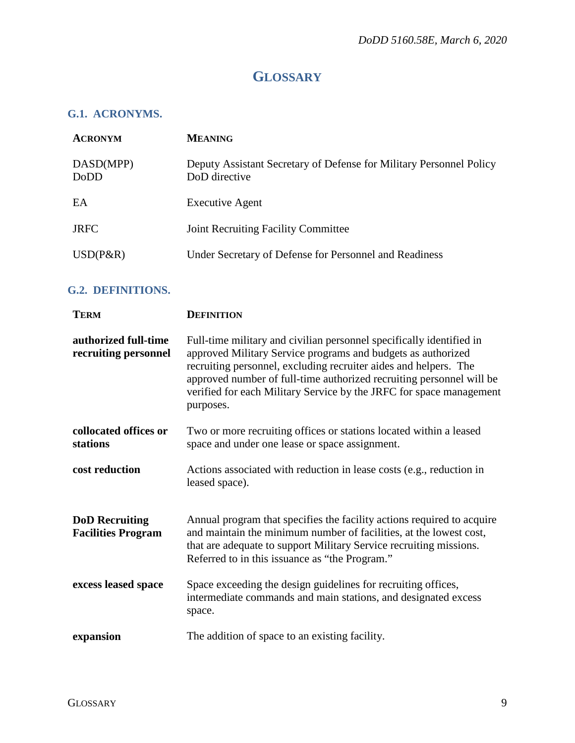## **GLOSSARY**

#### <span id="page-8-1"></span><span id="page-8-0"></span>**G.1. ACRONYMS.**

| <b>ACRONYM</b>    | <b>MEANING</b>                                                                       |
|-------------------|--------------------------------------------------------------------------------------|
| DASD(MPP)<br>DoDD | Deputy Assistant Secretary of Defense for Military Personnel Policy<br>DoD directive |
| EA                | <b>Executive Agent</b>                                                               |
| <b>JRFC</b>       | <b>Joint Recruiting Facility Committee</b>                                           |
| $USD(P\&R)$       | Under Secretary of Defense for Personnel and Readiness                               |

### <span id="page-8-2"></span>**G.2. DEFINITIONS.**

| <b>TERM</b>                                        | <b>DEFINITION</b>                                                                                                                                                                                                                                                                                                                                                    |
|----------------------------------------------------|----------------------------------------------------------------------------------------------------------------------------------------------------------------------------------------------------------------------------------------------------------------------------------------------------------------------------------------------------------------------|
| authorized full-time<br>recruiting personnel       | Full-time military and civilian personnel specifically identified in<br>approved Military Service programs and budgets as authorized<br>recruiting personnel, excluding recruiter aides and helpers. The<br>approved number of full-time authorized recruiting personnel will be<br>verified for each Military Service by the JRFC for space management<br>purposes. |
| collocated offices or<br>stations                  | Two or more recruiting offices or stations located within a leased<br>space and under one lease or space assignment.                                                                                                                                                                                                                                                 |
| cost reduction                                     | Actions associated with reduction in lease costs (e.g., reduction in<br>leased space).                                                                                                                                                                                                                                                                               |
| <b>DoD</b> Recruiting<br><b>Facilities Program</b> | Annual program that specifies the facility actions required to acquire<br>and maintain the minimum number of facilities, at the lowest cost,<br>that are adequate to support Military Service recruiting missions.<br>Referred to in this issuance as "the Program."                                                                                                 |
| excess leased space                                | Space exceeding the design guidelines for recruiting offices,<br>intermediate commands and main stations, and designated excess<br>space.                                                                                                                                                                                                                            |
| expansion                                          | The addition of space to an existing facility.                                                                                                                                                                                                                                                                                                                       |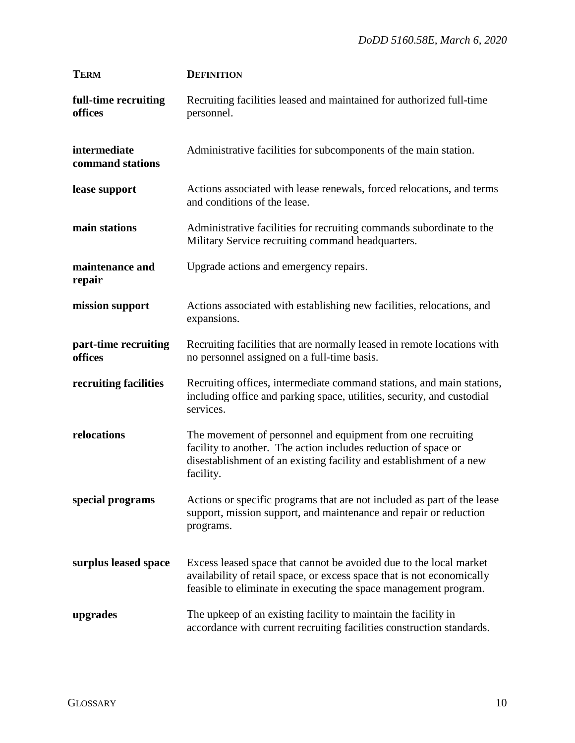| <b>TERM</b>                      | <b>DEFINITION</b>                                                                                                                                                                                                 |
|----------------------------------|-------------------------------------------------------------------------------------------------------------------------------------------------------------------------------------------------------------------|
| full-time recruiting<br>offices  | Recruiting facilities leased and maintained for authorized full-time<br>personnel.                                                                                                                                |
| intermediate<br>command stations | Administrative facilities for subcomponents of the main station.                                                                                                                                                  |
| lease support                    | Actions associated with lease renewals, forced relocations, and terms<br>and conditions of the lease.                                                                                                             |
| main stations                    | Administrative facilities for recruiting commands subordinate to the<br>Military Service recruiting command headquarters.                                                                                         |
| maintenance and<br>repair        | Upgrade actions and emergency repairs.                                                                                                                                                                            |
| mission support                  | Actions associated with establishing new facilities, relocations, and<br>expansions.                                                                                                                              |
| part-time recruiting<br>offices  | Recruiting facilities that are normally leased in remote locations with<br>no personnel assigned on a full-time basis.                                                                                            |
| recruiting facilities            | Recruiting offices, intermediate command stations, and main stations,<br>including office and parking space, utilities, security, and custodial<br>services.                                                      |
| relocations                      | The movement of personnel and equipment from one recruiting<br>facility to another. The action includes reduction of space or<br>disestablishment of an existing facility and establishment of a new<br>facility. |
| special programs                 | Actions or specific programs that are not included as part of the lease<br>support, mission support, and maintenance and repair or reduction<br>programs.                                                         |
| surplus leased space             | Excess leased space that cannot be avoided due to the local market<br>availability of retail space, or excess space that is not economically<br>feasible to eliminate in executing the space management program.  |
| upgrades                         | The upkeep of an existing facility to maintain the facility in<br>accordance with current recruiting facilities construction standards.                                                                           |